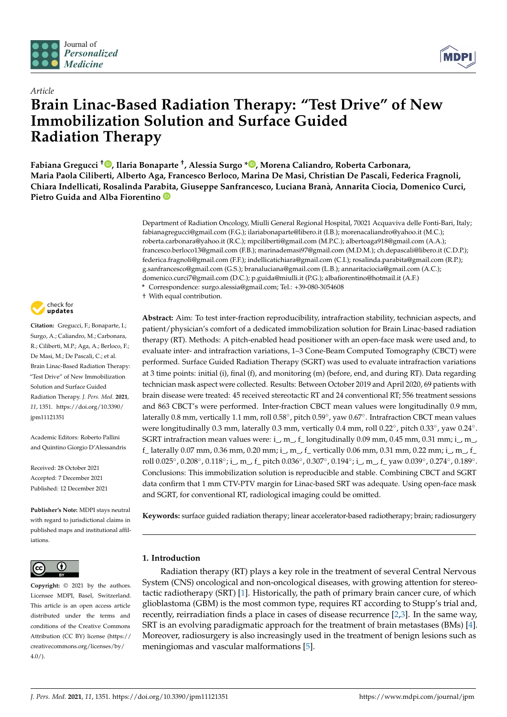



# *Article* **Brain Linac-Based Radiation Therapy: "Test Drive" of New Immobilization Solution and Surface Guided Radiation Therapy**

**Fabiana Gregucci [†](https://orcid.org/0000-0002-9947-9650) , Ilaria Bonaparte † , Alessia Surgo \* [,](https://orcid.org/0000-0003-4502-9635) Morena Caliandro, Roberta Carbonara, Maria Paola Ciliberti, Alberto Aga, Francesco Berloco, Marina De Masi, Christian De Pascali, Federica Fragnoli, Chiara Indellicati, Rosalinda Para[bit](https://orcid.org/0000-0003-4201-5852)a, Giuseppe Sanfrancesco, Luciana Branà, Annarita Ciocia, Domenico Curci, Pietro Guida and Alba Fiorentino**

> Department of Radiation Oncology, Miulli General Regional Hospital, 70021 Acquaviva delle Fonti-Bari, Italy; fabianagregucci@gmail.com (F.G.); ilariabonaparte@libero.it (I.B.); morenacaliandro@yahoo.it (M.C.); roberta.carbonara@yahoo.it (R.C.); mpciliberti@gmail.com (M.P.C.); albertoaga918@gmail.com (A.A.); francesco.berloco13@gmail.com (F.B.); marinademasi97@gmail.com (M.D.M.); ch.depascali@libero.it (C.D.P.); federica.fragnoli@gmail.com (F.F.); indellicatichiara@gmail.com (C.I.); rosalinda.parabita@gmail.com (R.P.); g.sanfrancesco@gmail.com (G.S.); branaluciana@gmail.com (L.B.); annaritaciocia@gmail.com (A.C.); domenico.curci7@gmail.com (D.C.); p.guida@miulli.it (P.G.); albafiorentino@hotmail.it (A.F.)

**\*** Correspondence: surgo.alessia@gmail.com; Tel.: +39-080-3054608

† With equal contribution.

**Abstract:** Aim: To test inter-fraction reproducibility, intrafraction stability, technician aspects, and patient/physician's comfort of a dedicated immobilization solution for Brain Linac-based radiation therapy (RT). Methods: A pitch-enabled head positioner with an open-face mask were used and, to evaluate inter- and intrafraction variations, 1–3 Cone-Beam Computed Tomography (CBCT) were performed. Surface Guided Radiation Therapy (SGRT) was used to evaluate intrafraction variations at 3 time points: initial (i), final (f), and monitoring (m) (before, end, and during RT). Data regarding technician mask aspect were collected. Results: Between October 2019 and April 2020, 69 patients with brain disease were treated: 45 received stereotactic RT and 24 conventional RT; 556 treatment sessions and 863 CBCT's were performed. Inter-fraction CBCT mean values were longitudinally 0.9 mm, laterally 0.8 mm, vertically 1.1 mm, roll 0.58°, pitch 0.59°, yaw 0.67°. Intrafraction CBCT mean values were longitudinally 0.3 mm, laterally 0.3 mm, vertically 0.4 mm, roll 0.22°, pitch 0.33°, yaw 0.24°. SGRT intrafraction mean values were:  $i$ , m<sub>, f</sub> longitudinally 0.09 mm, 0.45 mm, 0.31 mm;  $i$ , m<sub>,</sub> f\_ laterally 0.07 mm, 0.36 mm, 0.20 mm; i\_, m\_, f\_ vertically 0.06 mm, 0.31 mm, 0.22 mm; i\_, m\_, f\_ roll 0.025°, 0.208°, 0.118°; i\_, m\_, f\_ pitch 0.036°, 0.307°, 0.194°; i\_, m\_, f\_ yaw 0.039°, 0.274°, 0.189°. Conclusions: This immobilization solution is reproducible and stable. Combining CBCT and SGRT data confirm that 1 mm CTV-PTV margin for Linac-based SRT was adequate. Using open-face mask and SGRT, for conventional RT, radiological imaging could be omitted.

**Keywords:** surface guided radiation therapy; linear accelerator-based radiotherapy; brain; radiosurgery

## **1. Introduction**

Radiation therapy (RT) plays a key role in the treatment of several Central Nervous System (CNS) oncological and non-oncological diseases, with growing attention for stereotactic radiotherapy (SRT) [\[1\]](#page-8-0). Historically, the path of primary brain cancer cure, of which glioblastoma (GBM) is the most common type, requires RT according to Stupp's trial and, recently, reirradiation finds a place in cases of disease recurrence [\[2](#page-8-1)[,3\]](#page-8-2). In the same way, SRT is an evolving paradigmatic approach for the treatment of brain metastases (BMs) [\[4\]](#page-8-3). Moreover, radiosurgery is also increasingly used in the treatment of benign lesions such as meningiomas and vascular malformations [\[5\]](#page-8-4).



**Citation:** Gregucci, F.; Bonaparte, I.; Surgo, A.; Caliandro, M.; Carbonara, R.; Ciliberti, M.P.; Aga, A.; Berloco, F.; De Masi, M.; De Pascali, C.; et al. Brain Linac-Based Radiation Therapy: "Test Drive" of New Immobilization Solution and Surface Guided Radiation Therapy. *J. Pers. Med.* **2021**, *11*, 1351. [https://doi.org/10.3390/](https://doi.org/10.3390/jpm11121351) [jpm11121351](https://doi.org/10.3390/jpm11121351)

Academic Editors: Roberto Pallini and Quintino Giorgio D'Alessandris

Received: 28 October 2021 Accepted: 7 December 2021 Published: 12 December 2021

**Publisher's Note:** MDPI stays neutral with regard to jurisdictional claims in published maps and institutional affiliations.



**Copyright:** © 2021 by the authors. Licensee MDPI, Basel, Switzerland. This article is an open access article distributed under the terms and conditions of the Creative Commons Attribution (CC BY) license (https:/[/](https://creativecommons.org/licenses/by/4.0/) [creativecommons.org/licenses/by/](https://creativecommons.org/licenses/by/4.0/)  $4.0/$ ).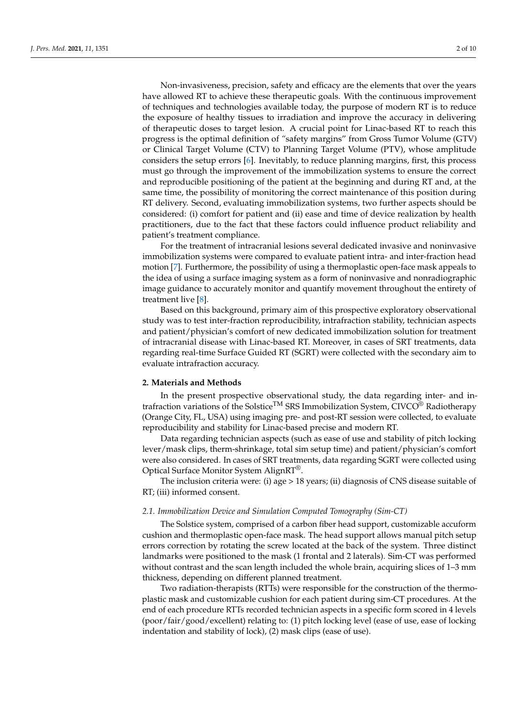Non-invasiveness, precision, safety and efficacy are the elements that over the years have allowed RT to achieve these therapeutic goals. With the continuous improvement of techniques and technologies available today, the purpose of modern RT is to reduce the exposure of healthy tissues to irradiation and improve the accuracy in delivering of therapeutic doses to target lesion. A crucial point for Linac-based RT to reach this progress is the optimal definition of *"*safety margins" from Gross Tumor Volume (GTV) or Clinical Target Volume (CTV) to Planning Target Volume (PTV), whose amplitude considers the setup errors [\[6\]](#page-8-5). Inevitably, to reduce planning margins, first, this process must go through the improvement of the immobilization systems to ensure the correct and reproducible positioning of the patient at the beginning and during RT and, at the same time, the possibility of monitoring the correct maintenance of this position during RT delivery. Second, evaluating immobilization systems, two further aspects should be considered: (i) comfort for patient and (ii) ease and time of device realization by health practitioners, due to the fact that these factors could influence product reliability and patient's treatment compliance.

For the treatment of intracranial lesions several dedicated invasive and noninvasive immobilization systems were compared to evaluate patient intra- and inter-fraction head motion [\[7\]](#page-8-6). Furthermore, the possibility of using a thermoplastic open-face mask appeals to the idea of using a surface imaging system as a form of noninvasive and nonradiographic image guidance to accurately monitor and quantify movement throughout the entirety of treatment live [\[8\]](#page-8-7).

Based on this background, primary aim of this prospective exploratory observational study was to test inter-fraction reproducibility, intrafraction stability, technician aspects and patient/physician's comfort of new dedicated immobilization solution for treatment of intracranial disease with Linac-based RT. Moreover, in cases of SRT treatments, data regarding real-time Surface Guided RT (SGRT) were collected with the secondary aim to evaluate intrafraction accuracy.

#### **2. Materials and Methods**

In the present prospective observational study, the data regarding inter- and intrafraction variations of the Solstice<sup>TM</sup> SRS Immobilization System,  $CIVCO^{@}$  Radiotherapy (Orange City, FL, USA) using imaging pre- and post-RT session were collected, to evaluate reproducibility and stability for Linac-based precise and modern RT.

Data regarding technician aspects (such as ease of use and stability of pitch locking lever/mask clips, therm-shrinkage, total sim setup time) and patient/physician's comfort were also considered. In cases of SRT treatments, data regarding SGRT were collected using Optical Surface Monitor System AlignRT®.

The inclusion criteria were: (i) age > 18 years; (ii) diagnosis of CNS disease suitable of RT; (iii) informed consent.

#### *2.1. Immobilization Device and Simulation Computed Tomography (Sim-CT)*

The Solstice system, comprised of a carbon fiber head support, customizable accuform cushion and thermoplastic open-face mask. The head support allows manual pitch setup errors correction by rotating the screw located at the back of the system. Three distinct landmarks were positioned to the mask (1 frontal and 2 laterals). Sim-CT was performed without contrast and the scan length included the whole brain, acquiring slices of 1–3 mm thickness, depending on different planned treatment.

Two radiation-therapists (RTTs) were responsible for the construction of the thermoplastic mask and customizable cushion for each patient during sim-CT procedures. At the end of each procedure RTTs recorded technician aspects in a specific form scored in 4 levels (poor/fair/good/excellent) relating to: (1) pitch locking level (ease of use, ease of locking indentation and stability of lock), (2) mask clips (ease of use).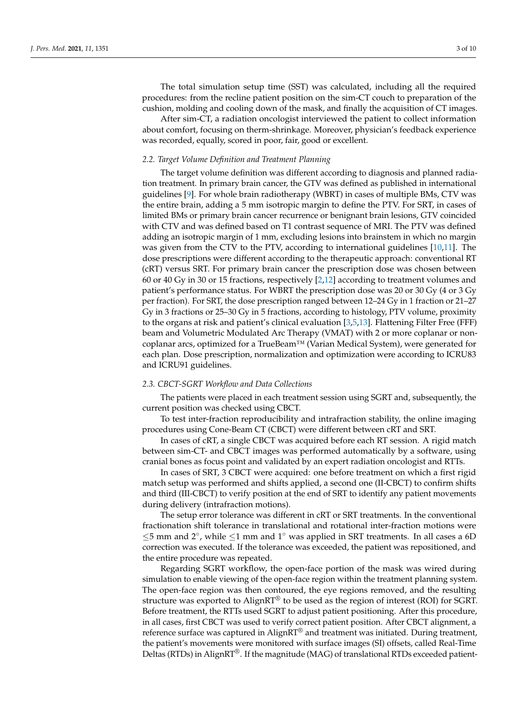The total simulation setup time (SST) was calculated, including all the required procedures: from the recline patient position on the sim-CT couch to preparation of the cushion, molding and cooling down of the mask, and finally the acquisition of CT images.

After sim-CT, a radiation oncologist interviewed the patient to collect information about comfort, focusing on therm-shrinkage. Moreover, physician's feedback experience was recorded, equally, scored in poor, fair, good or excellent.

### *2.2. Target Volume Definition and Treatment Planning*

The target volume definition was different according to diagnosis and planned radiation treatment. In primary brain cancer, the GTV was defined as published in international guidelines [\[9\]](#page-8-8). For whole brain radiotherapy (WBRT) in cases of multiple BMs, CTV was the entire brain, adding a 5 mm isotropic margin to define the PTV. For SRT, in cases of limited BMs or primary brain cancer recurrence or benignant brain lesions, GTV coincided with CTV and was defined based on T1 contrast sequence of MRI. The PTV was defined adding an isotropic margin of 1 mm, excluding lesions into brainstem in which no margin was given from the CTV to the PTV, according to international guidelines [\[10](#page-8-9)[,11\]](#page-8-10). The dose prescriptions were different according to the therapeutic approach: conventional RT (cRT) versus SRT. For primary brain cancer the prescription dose was chosen between 60 or 40 Gy in 30 or 15 fractions, respectively [\[2](#page-8-1)[,12\]](#page-8-11) according to treatment volumes and patient's performance status. For WBRT the prescription dose was 20 or 30 Gy (4 or 3 Gy per fraction). For SRT, the dose prescription ranged between 12–24 Gy in 1 fraction or 21–27 Gy in 3 fractions or 25–30 Gy in 5 fractions, according to histology, PTV volume, proximity to the organs at risk and patient's clinical evaluation [\[3,](#page-8-2)[5,](#page-8-4)[13\]](#page-8-12). Flattening Filter Free (FFF) beam and Volumetric Modulated Arc Therapy (VMAT) with 2 or more coplanar or noncoplanar arcs, optimized for a TrueBeam™ (Varian Medical System), were generated for each plan. Dose prescription, normalization and optimization were according to ICRU83 and ICRU91 guidelines.

### *2.3. CBCT-SGRT Workflow and Data Collections*

The patients were placed in each treatment session using SGRT and, subsequently, the current position was checked using CBCT.

To test inter-fraction reproducibility and intrafraction stability, the online imaging procedures using Cone-Beam CT (CBCT) were different between cRT and SRT.

In cases of cRT, a single CBCT was acquired before each RT session. A rigid match between sim-CT- and CBCT images was performed automatically by a software, using cranial bones as focus point and validated by an expert radiation oncologist and RTTs.

In cases of SRT, 3 CBCT were acquired: one before treatment on which a first rigid match setup was performed and shifts applied, a second one (II-CBCT) to confirm shifts and third (III-CBCT) to verify position at the end of SRT to identify any patient movements during delivery (intrafraction motions).

The setup error tolerance was different in cRT or SRT treatments. In the conventional fractionation shift tolerance in translational and rotational inter-fraction motions were ≤5 mm and 2◦ , while ≤1 mm and 1◦ was applied in SRT treatments. In all cases a 6D correction was executed. If the tolerance was exceeded, the patient was repositioned, and the entire procedure was repeated.

Regarding SGRT workflow, the open-face portion of the mask was wired during simulation to enable viewing of the open-face region within the treatment planning system. The open-face region was then contoured, the eye regions removed, and the resulting structure was exported to AlignRT® to be used as the region of interest (ROI) for SGRT. Before treatment, the RTTs used SGRT to adjust patient positioning. After this procedure, in all cases, first CBCT was used to verify correct patient position. After CBCT alignment, a reference surface was captured in  $\text{AlignRT}^{\circledR}$  and treatment was initiated. During treatment, the patient's movements were monitored with surface images (SI) offsets, called Real-Time Deltas (RTDs) in AlignRT®. If the magnitude (MAG) of translational RTDs exceeded patient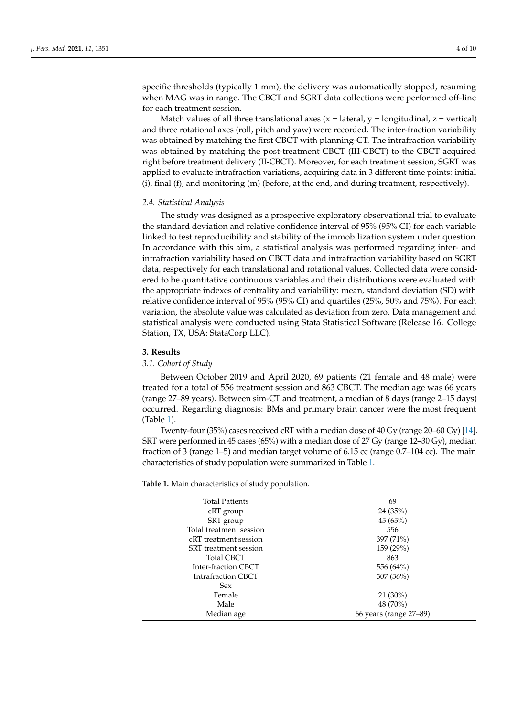specific thresholds (typically 1 mm), the delivery was automatically stopped, resuming when MAG was in range. The CBCT and SGRT data collections were performed off-line for each treatment session.

Match values of all three translational axes  $(x = lateral, y = longitudinal, z = vertical)$ and three rotational axes (roll, pitch and yaw) were recorded. The inter-fraction variability was obtained by matching the first CBCT with planning-CT. The intrafraction variability was obtained by matching the post-treatment CBCT (III-CBCT) to the CBCT acquired right before treatment delivery (II-CBCT). Moreover, for each treatment session, SGRT was applied to evaluate intrafraction variations, acquiring data in 3 different time points: initial  $(i)$ , final  $(f)$ , and monitoring  $(m)$  (before, at the end, and during treatment, respectively).

## *2.4. Statistical Analysis*

The study was designed as a prospective exploratory observational trial to evaluate the standard deviation and relative confidence interval of 95% (95% CI) for each variable linked to test reproducibility and stability of the immobilization system under question. In accordance with this aim, a statistical analysis was performed regarding inter- and intrafraction variability based on CBCT data and intrafraction variability based on SGRT data, respectively for each translational and rotational values. Collected data were considered to be quantitative continuous variables and their distributions were evaluated with the appropriate indexes of centrality and variability: mean, standard deviation (SD) with relative confidence interval of 95% (95% CI) and quartiles (25%, 50% and 75%). For each variation, the absolute value was calculated as deviation from zero. Data management and statistical analysis were conducted using Stata Statistical Software (Release 16. College Station, TX, USA: StataCorp LLC).

## **3. Results**

## *3.1. Cohort of Study*

Between October 2019 and April 2020, 69 patients (21 female and 48 male) were treated for a total of 556 treatment session and 863 CBCT. The median age was 66 years (range 27–89 years). Between sim-CT and treatment, a median of 8 days (range 2–15 days) occurred. Regarding diagnosis: BMs and primary brain cancer were the most frequent (Table [1\)](#page-4-0).

Twenty-four (35%) cases received cRT with a median dose of 40 Gy (range 20–60 Gy) [\[14\]](#page-8-13). SRT were performed in 45 cases (65%) with a median dose of 27 Gy (range 12–30 Gy), median fraction of 3 (range 1–5) and median target volume of 6.15 cc (range 0.7–104 cc). The main characteristics of study population were summarized in Table [1.](#page-4-0)

**Table 1.** Main characteristics of study population.

| <b>Total Patients</b>   | 69                     |
|-------------------------|------------------------|
| cRT group               | 24(35%)                |
| SRT group               | 45(65%)                |
| Total treatment session | 556                    |
| cRT treatment session   | 397 (71%)              |
| SRT treatment session   | 159 (29%)              |
| <b>Total CBCT</b>       | 863                    |
| Inter-fraction CBCT     | 556 (64%)              |
| Intrafraction CBCT      | 307(36%)               |
| <b>Sex</b>              |                        |
| Female                  | $21(30\%)$             |
| Male                    | 48 (70%)               |
| Median age              | 66 years (range 27–89) |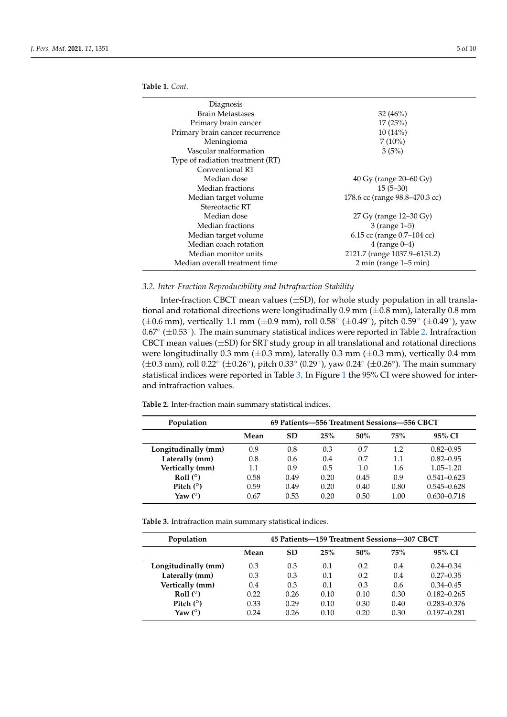| Diagnosis                        |                                            |
|----------------------------------|--------------------------------------------|
| Brain Metastases                 | 32(46%)                                    |
| Primary brain cancer             | 17(25%)                                    |
| Primary brain cancer recurrence  | 10(14%)                                    |
| Meningioma                       | $7(10\%)$                                  |
| Vascular malformation            | 3(5%)                                      |
| Type of radiation treatment (RT) |                                            |
| Conventional RT                  |                                            |
| Median dose                      | 40 Gy (range 20–60 Gy)                     |
| Median fractions                 | $15(5-30)$                                 |
| Median target volume             | 178.6 cc (range 98.8–470.3 cc)             |
| Stereotactic RT                  |                                            |
| Median dose                      | 27 Gy (range 12–30 Gy)                     |
| Median fractions                 | $3$ (range $1-5$ )                         |
| Median target volume             | 6.15 cc (range 0.7-104 cc)                 |
| Median coach rotation            | $4$ (range $0-4$ )                         |
| Median monitor units             | 2121.7 (range 1037.9-6151.2)               |
| Median overall treatment time    | $2 \text{ min}$ (range $1-5 \text{ min}$ ) |

## <span id="page-4-0"></span>**Table 1.** *Cont.*

# *3.2. Inter-Fraction Reproducibility and Intrafraction Stability*

Inter-fraction CBCT mean values  $(\pm SD)$ , for whole study population in all translational and rotational directions were longitudinally  $0.9$  mm ( $\pm 0.8$  mm), laterally  $0.8$  mm (±0.6 mm), vertically 1.1 mm (±0.9 mm), roll 0.58 $^{\circ}$  (±0.49 $^{\circ}$ ), pitch 0.59 $^{\circ}$  (±0.49 $^{\circ}$ ), yaw 0.67◦ (±0.53◦ ). The main summary statistical indices were reported in Table [2.](#page-4-1) Intrafraction CBCT mean values  $(\pm SD)$  for SRT study group in all translational and rotational directions were longitudinally 0.3 mm ( $\pm$ 0.3 mm), laterally 0.3 mm ( $\pm$ 0.3 mm), vertically 0.4 mm (±0.3 mm), roll 0.22° (±0.26°), pitch 0.33° (0.29°), yaw 0.24° (±0.26°). The main summary statistical indices were reported in Table [3.](#page-4-2) In Figure [1](#page-5-0) the 95% CI were showed for interand intrafraction values.

<span id="page-4-1"></span>**Table 2.** Inter-fraction main summary statistical indices.

| Population          | 69 Patients-556 Treatment Sessions-556 CBCT |           |      |      |      |                 |
|---------------------|---------------------------------------------|-----------|------|------|------|-----------------|
|                     | Mean                                        | <b>SD</b> | 25%  | 50%  | 75%  | 95% CI          |
| Longitudinally (mm) | 0.9                                         | 0.8       | 0.3  | 0.7  | 1.2  | $0.82 - 0.95$   |
| Laterally (mm)      | 0.8                                         | 0.6       | 0.4  | 0.7  | 1.1  | $0.82 - 0.95$   |
| Vertically (mm)     | 1.1                                         | 0.9       | 0.5  | 1.0  | 1.6  | $1.05 - 1.20$   |
| Roll $(°)$          | 0.58                                        | 0.49      | 0.20 | 0.45 | 0.9  | $0.541 - 0.623$ |
| Pitch $(°)$         | 0.59                                        | 0.49      | 0.20 | 0.40 | 0.80 | $0.545 - 0.628$ |
| Yaw $(°)$           | 0.67                                        | 0.53      | 0.20 | 0.50 | 1.00 | $0.630 - 0.718$ |

<span id="page-4-2"></span>**Table 3.** Intrafraction main summary statistical indices.

| Population          | 45 Patients-159 Treatment Sessions-307 CBCT |           |      |      |      |                 |
|---------------------|---------------------------------------------|-----------|------|------|------|-----------------|
|                     | Mean                                        | <b>SD</b> | 25%  | 50%  | 75%  | 95% CI          |
| Longitudinally (mm) | 0.3                                         | 0.3       | 0.1  | 0.2  | 0.4  | $0.24 - 0.34$   |
| Laterally (mm)      | 0.3                                         | 0.3       | 0.1  | 0.2  | 0.4  | $0.27 - 0.35$   |
| Vertically (mm)     | 0.4                                         | 0.3       | 0.1  | 0.3  | 0.6  | $0.34 - 0.45$   |
| Roll $(°)$          | 0.22                                        | 0.26      | 0.10 | 0.10 | 0.30 | $0.182 - 0.265$ |
| Pitch $(°)$         | 0.33                                        | 0.29      | 0.10 | 0.30 | 0.40 | $0.283 - 0.376$ |
| Yaw $(°)$           | 0.24                                        | 0.26      | 0.10 | 0.20 | 0.30 | $0.197 - 0.281$ |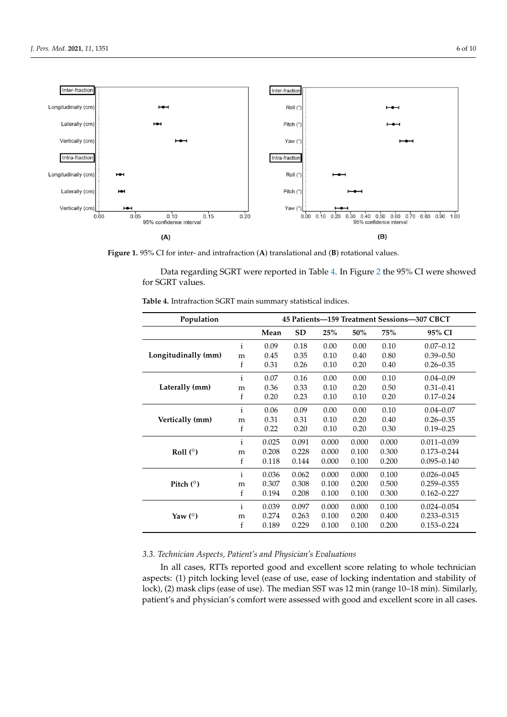<span id="page-5-0"></span>

**Figure 1.** 95% CI for inter- and intrafraction (**A**) translational and (**B**) rotational values.

for SGRT values. Data regarding SGRT were reported in Table [4.](#page-5-1) In Figure [2](#page-6-0) the 95% CI were showed

| Population          |              | 45 Patients-159 Treatment Sessions-307 CBCT |           |       |       |       |                 |
|---------------------|--------------|---------------------------------------------|-----------|-------|-------|-------|-----------------|
|                     |              | Mean                                        | <b>SD</b> | 25%   | 50%   | 75%   | 95% CI          |
|                     | $\mathbf{i}$ | 0.09                                        | 0.18      | 0.00  | 0.00  | 0.10  | $0.07 - 0.12$   |
| Longitudinally (mm) | m            | 0.45                                        | 0.35      | 0.10  | 0.40  | 0.80  | $0.39 - 0.50$   |
|                     | f            | 0.31                                        | 0.26      | 0.10  | 0.20  | 0.40  | $0.26 - 0.35$   |
|                     | $\mathbf{i}$ | 0.07                                        | 0.16      | 0.00  | 0.00  | 0.10  | $0.04 - 0.09$   |
| Laterally (mm)      | m            | 0.36                                        | 0.33      | 0.10  | 0.20  | 0.50  | $0.31 - 0.41$   |
|                     | f            | 0.20                                        | 0.23      | 0.10  | 0.10  | 0.20  | $0.17 - 0.24$   |
|                     | $\mathbf{i}$ | 0.06                                        | 0.09      | 0.00  | 0.00  | 0.10  | $0.04 - 0.07$   |
| Vertically (mm)     | m            | 0.31                                        | 0.31      | 0.10  | 0.20  | 0.40  | $0.26 - 0.35$   |
|                     | f            | 0.22                                        | 0.20      | 0.10  | 0.20  | 0.30  | $0.19 - 0.25$   |
|                     | $\mathbf{i}$ | 0.025                                       | 0.091     | 0.000 | 0.000 | 0.000 | $0.011 - 0.039$ |
| Roll $(°)$          | m            | 0.208                                       | 0.228     | 0.000 | 0.100 | 0.300 | $0.173 - 0.244$ |
|                     | f            | 0.118                                       | 0.144     | 0.000 | 0.100 | 0.200 | $0.095 - 0.140$ |
|                     | $\mathbf{i}$ | 0.036                                       | 0.062     | 0.000 | 0.000 | 0.100 | $0.026 - 0.045$ |
| Pitch $(°)$         | m            | 0.307                                       | 0.308     | 0.100 | 0.200 | 0.500 | $0.259 - 0.355$ |
|                     | f            | 0.194                                       | 0.208     | 0.100 | 0.100 | 0.300 | $0.162 - 0.227$ |
| Yaw $(°)$           | $\mathbf{i}$ | 0.039                                       | 0.097     | 0.000 | 0.000 | 0.100 | $0.024 - 0.054$ |
|                     | m            | 0.274                                       | 0.263     | 0.100 | 0.200 | 0.400 | $0.233 - 0.315$ |
|                     | f            | 0.189                                       | 0.229     | 0.100 | 0.100 | 0.200 | $0.153 - 0.224$ |

<span id="page-5-1"></span>**Table 4.** Intrafraction SGRT main summary statistical indices.

# *3.3. Technician Aspects, Patient's and Physician's Evaluations*

In all cases, RTTs reported good and excellent score relating to whole technician aspects: (1) pitch locking level (ease of use, ease of locking indentation and stability of lock), (2) mask clips (ease of use). The median SST was 12 min (range 10–18 min). Similarly, patient's and physician's comfort were assessed with good and excellent score in all cases.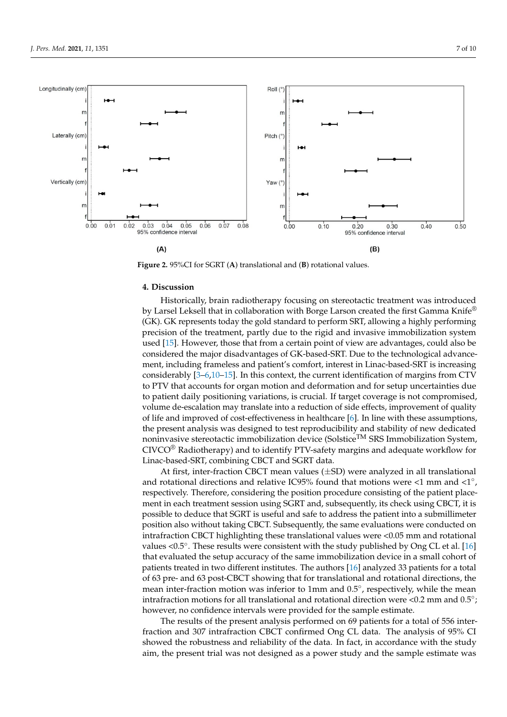<span id="page-6-0"></span>

**Figure 2.** 95%CI for SGRT (**A**) translational and (**B**) rotational values.

## **4. Discussion**

Historically, brain radiotherapy focusing on stereotactic treatment was introduced by Larsel Leksell that in collaboration with Borge Larson created the first Gamma Knife<sup>®</sup> (GK). GK represents today the gold standard to perform SRT, allowing a highly performing precision of the treatment, partly due to the rigid and invasive immobilization system used [\[15\]](#page-8-14). However, those that from a certain point of view are advantages, could also be considered the major disadvantages of GK-based-SRT. Due to the technological advancement, including frameless and patient's comfort, interest in Linac-based-SRT is increasing considerably [\[3–](#page-8-2)[6,](#page-8-5)[10](#page-8-9)[–15\]](#page-8-14). In this context, the current identification of margins from CTV to PTV that accounts for organ motion and deformation and for setup uncertainties due to patient daily positioning variations, is crucial. If target coverage is not compromised, volume de-escalation may translate into a reduction of side effects, improvement of quality of life and improved of cost-effectiveness in healthcare [\[6\]](#page-8-5). In line with these assumptions, the present analysis was designed to test reproducibility and stability of new dedicated noninvasive stereotactic immobilization device (Solstice<sup>TM</sup> SRS Immobilization System, CIVCO® Radiotherapy) and to identify PTV-safety margins and adequate workflow for Linac-based-SRT, combining CBCT and SGRT data.

At first, inter-fraction CBCT mean values (±SD) were analyzed in all translational and rotational directions and relative IC95% found that motions were <1 mm and <1 $\degree$ , respectively. Therefore, considering the position procedure consisting of the patient placement in each treatment session using SGRT and, subsequently, its check using CBCT, it is possible to deduce that SGRT is useful and safe to address the patient into a submillimeter position also without taking CBCT. Subsequently, the same evaluations were conducted on intrafraction CBCT highlighting these translational values were <0.05 mm and rotational values <0.5°. These results were consistent with the study published by Ong CL et al. [\[16\]](#page-8-15) that evaluated the setup accuracy of the same immobilization device in a small cohort of patients treated in two different institutes. The authors [\[16\]](#page-8-15) analyzed 33 patients for a total of 63 pre- and 63 post-CBCT showing that for translational and rotational directions, the mean inter-fraction motion was inferior to 1mm and 0.5°, respectively, while the mean intrafraction motions for all translational and rotational direction were <0.2 mm and 0.5°; however, no confidence intervals were provided for the sample estimate.

The results of the present analysis performed on 69 patients for a total of 556 interfraction and 307 intrafraction CBCT confirmed Ong CL data. The analysis of 95% CI showed the robustness and reliability of the data. In fact, in accordance with the study aim, the present trial was not designed as a power study and the sample estimate was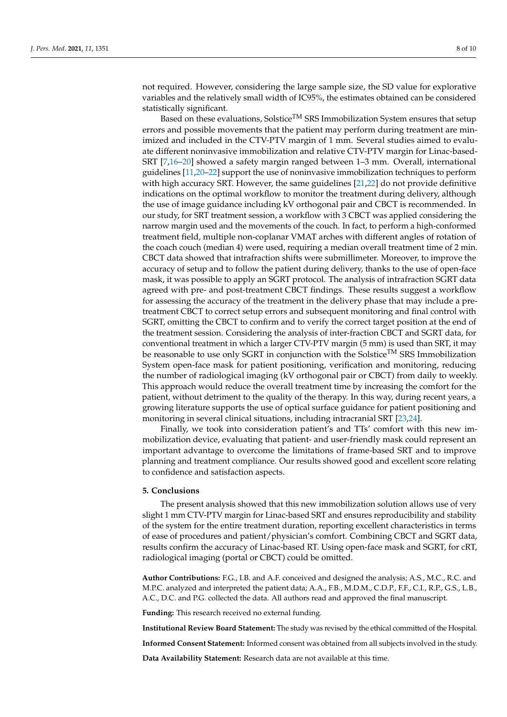not required. However, considering the large sample size, the SD value for explorative variables and the relatively small width of IC95%, the estimates obtained can be considered statistically significant.

Based on these evaluations, Solstice<sup>TM</sup> SRS Immobilization System ensures that setup errors and possible movements that the patient may perform during treatment are minimized and included in the CTV-PTV margin of 1 mm. Several studies aimed to evaluate different noninvasive immobilization and relative CTV-PTV margin for Linac-based-SRT [\[7](#page-8-6)[,16](#page-8-15)[–20\]](#page-8-16) showed a safety margin ranged between 1–3 mm. Overall, international guidelines [\[11,](#page-8-10)[20](#page-8-16)[–22\]](#page-9-0) support the use of noninvasive immobilization techniques to perform with high accuracy SRT. However, the same guidelines [\[21,](#page-9-1)[22\]](#page-9-0) do not provide definitive indications on the optimal workflow to monitor the treatment during delivery, although the use of image guidance including kV orthogonal pair and CBCT is recommended. In our study, for SRT treatment session, a workflow with 3 CBCT was applied considering the narrow margin used and the movements of the couch. In fact, to perform a high-conformed treatment field, multiple non-coplanar VMAT arches with different angles of rotation of the coach couch (median 4) were used, requiring a median overall treatment time of 2 min. CBCT data showed that intrafraction shifts were submillimeter. Moreover, to improve the accuracy of setup and to follow the patient during delivery, thanks to the use of open-face mask, it was possible to apply an SGRT protocol. The analysis of intrafraction SGRT data agreed with pre- and post-treatment CBCT findings. These results suggest a workflow for assessing the accuracy of the treatment in the delivery phase that may include a pretreatment CBCT to correct setup errors and subsequent monitoring and final control with SGRT, omitting the CBCT to confirm and to verify the correct target position at the end of the treatment session. Considering the analysis of inter-fraction CBCT and SGRT data, for conventional treatment in which a larger CTV-PTV margin (5 mm) is used than SRT, it may be reasonable to use only SGRT in conjunction with the Solstice<sup>TM</sup> SRS Immobilization System open-face mask for patient positioning, verification and monitoring, reducing the number of radiological imaging (kV orthogonal pair or CBCT) from daily to weekly. This approach would reduce the overall treatment time by increasing the comfort for the patient, without detriment to the quality of the therapy. In this way, during recent years, a growing literature supports the use of optical surface guidance for patient positioning and monitoring in several clinical situations, including intracranial SRT [\[23,](#page-9-2)[24\]](#page-9-3).

Finally, we took into consideration patient's and TTs' comfort with this new immobilization device, evaluating that patient- and user-friendly mask could represent an important advantage to overcome the limitations of frame-based SRT and to improve planning and treatment compliance. Our results showed good and excellent score relating to confidence and satisfaction aspects.

### **5. Conclusions**

The present analysis showed that this new immobilization solution allows use of very slight 1 mm CTV-PTV margin for Linac-based SRT and ensures reproducibility and stability of the system for the entire treatment duration, reporting excellent characteristics in terms of ease of procedures and patient/physician's comfort. Combining CBCT and SGRT data, results confirm the accuracy of Linac-based RT. Using open-face mask and SGRT, for cRT, radiological imaging (portal or CBCT) could be omitted.

**Author Contributions:** F.G., I.B. and A.F. conceived and designed the analysis; A.S., M.C., R.C. and M.P.C. analyzed and interpreted the patient data; A.A., F.B., M.D.M., C.D.P., F.F., C.I., R.P., G.S., L.B., A.C., D.C. and P.G. collected the data. All authors read and approved the final manuscript.

**Funding:** This research received no external funding.

**Institutional Review Board Statement:** The study was revised by the ethical committed of the Hospital.

**Informed Consent Statement:** Informed consent was obtained from all subjects involved in the study.

**Data Availability Statement:** Research data are not available at this time.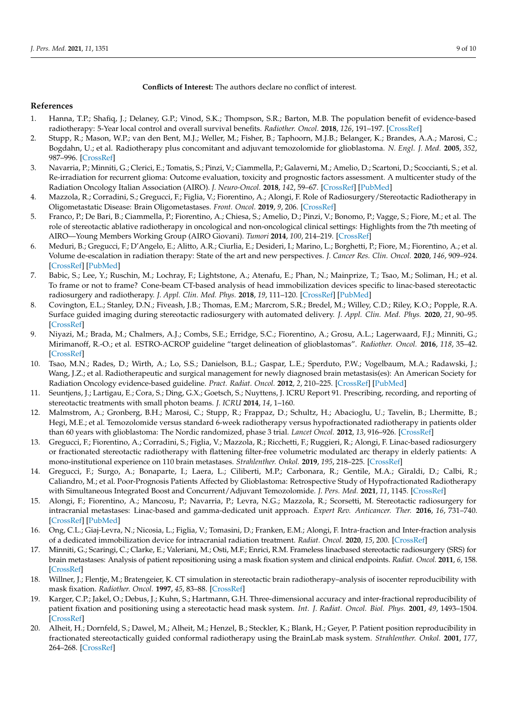**Conflicts of Interest:** The authors declare no conflict of interest.

## **References**

- <span id="page-8-0"></span>1. Hanna, T.P.; Shafiq, J.; Delaney, G.P.; Vinod, S.K.; Thompson, S.R.; Barton, M.B. The population benefit of evidence-based radiotherapy: 5-Year local control and overall survival benefits. *Radiother. Oncol.* **2018**, *126*, 191–197. [\[CrossRef\]](http://doi.org/10.1016/j.radonc.2017.11.004)
- <span id="page-8-1"></span>2. Stupp, R.; Mason, W.P.; van den Bent, M.J.; Weller, M.; Fisher, B.; Taphoorn, M.J.B.; Belanger, K.; Brandes, A.A.; Marosi, C.; Bogdahn, U.; et al. Radiotherapy plus concomitant and adjuvant temozolomide for glioblastoma. *N. Engl. J. Med.* **2005**, *352*, 987–996. [\[CrossRef\]](http://doi.org/10.1056/NEJMoa043330)
- <span id="page-8-2"></span>3. Navarria, P.; Minniti, G.; Clerici, E.; Tomatis, S.; Pinzi, V.; Ciammella, P.; Galaverni, M.; Amelio, D.; Scartoni, D.; Scoccianti, S.; et al. Re-irradiation for recurrent glioma: Outcome evaluation, toxicity and prognostic factors assessment. A multicenter study of the Radiation Oncology Italian Association (AIRO). *J. Neuro-Oncol.* **2018**, *142*, 59–67. [\[CrossRef\]](http://doi.org/10.1007/s11060-018-03059-x) [\[PubMed\]](http://www.ncbi.nlm.nih.gov/pubmed/30515706)
- <span id="page-8-3"></span>4. Mazzola, R.; Corradini, S.; Gregucci, F.; Figlia, V.; Fiorentino, A.; Alongi, F. Role of Radiosurgery/Stereotactic Radiotherapy in Oligometastatic Disease: Brain Oligometastases. *Front. Oncol.* **2019**, *9*, 206. [\[CrossRef\]](http://doi.org/10.3389/fonc.2019.00206)
- <span id="page-8-4"></span>5. Franco, P.; De Bari, B.; Ciammella, P.; Fiorentino, A.; Chiesa, S.; Amelio, D.; Pinzi, V.; Bonomo, P.; Vagge, S.; Fiore, M.; et al. The role of stereotactic ablative radiotherapy in oncological and non-oncological clinical settings: Highlights from the 7th meeting of AIRO—Young Members Working Group (AIRO Giovani). *Tumori* **2014**, *100*, 214–219. [\[CrossRef\]](http://doi.org/10.1177/1778.19280)
- <span id="page-8-5"></span>6. Meduri, B.; Gregucci, F.; D'Angelo, E.; Alitto, A.R.; Ciurlia, E.; Desideri, I.; Marino, L.; Borghetti, P.; Fiore, M.; Fiorentino, A.; et al. Volume de-escalation in radiation therapy: State of the art and new perspectives. *J. Cancer Res. Clin. Oncol.* **2020**, *146*, 909–924. [\[CrossRef\]](http://doi.org/10.1007/s00432-020-03152-7) [\[PubMed\]](http://www.ncbi.nlm.nih.gov/pubmed/32072318)
- <span id="page-8-6"></span>7. Babic, S.; Lee, Y.; Ruschin, M.; Lochray, F.; Lightstone, A.; Atenafu, E.; Phan, N.; Mainprize, T.; Tsao, M.; Soliman, H.; et al. To frame or not to frame? Cone-beam CT-based analysis of head immobilization devices specific to linac-based stereotactic radiosurgery and radiotherapy. *J. Appl. Clin. Med. Phys.* **2018**, *19*, 111–120. [\[CrossRef\]](http://doi.org/10.1002/acm2.12251) [\[PubMed\]](http://www.ncbi.nlm.nih.gov/pubmed/29363282)
- <span id="page-8-7"></span>8. Covington, E.L.; Stanley, D.N.; Fiveash, J.B.; Thomas, E.M.; Marcrom, S.R.; Bredel, M.; Willey, C.D.; Riley, K.O.; Popple, R.A. Surface guided imaging during stereotactic radiosurgery with automated delivery. *J. Appl. Clin. Med. Phys.* **2020**, *21*, 90–95. [\[CrossRef\]](http://doi.org/10.1002/acm2.13066)
- <span id="page-8-8"></span>9. Niyazi, M.; Brada, M.; Chalmers, A.J.; Combs, S.E.; Erridge, S.C.; Fiorentino, A.; Grosu, A.L.; Lagerwaard, F.J.; Minniti, G.; Mirimanoff, R.-O.; et al. ESTRO-ACROP guideline "target delineation of glioblastomas". *Radiother. Oncol.* **2016**, *118*, 35–42. [\[CrossRef\]](http://doi.org/10.1016/j.radonc.2015.12.003)
- <span id="page-8-9"></span>10. Tsao, M.N.; Rades, D.; Wirth, A.; Lo, S.S.; Danielson, B.L.; Gaspar, L.E.; Sperduto, P.W.; Vogelbaum, M.A.; Radawski, J.; Wang, J.Z.; et al. Radiotherapeutic and surgical management for newly diagnosed brain metastasis(es): An American Society for Radiation Oncology evidence-based guideline. *Pract. Radiat. Oncol.* **2012**, *2*, 210–225. [\[CrossRef\]](http://doi.org/10.1016/j.prro.2011.12.004) [\[PubMed\]](http://www.ncbi.nlm.nih.gov/pubmed/25925626)
- <span id="page-8-10"></span>11. Seuntjens, J.; Lartigau, E.; Cora, S.; Ding, G.X.; Goetsch, S.; Nuyttens, J. ICRU Report 91. Prescribing, recording, and reporting of stereotactic treatments with small photon beams. *J. ICRU* **2014**, *14*, 1–160.
- <span id="page-8-11"></span>12. Malmstrom, A.; Gronberg, B.H.; Marosi, C.; Stupp, R.; Frappaz, D.; Schultz, H.; Abacioglu, U.; Tavelin, B.; Lhermitte, B.; Hegi, M.E.; et al. Temozolomide versus standard 6-week radiotherapy versus hypofractionated radiotherapy in patients older than 60 years with glioblastoma: The Nordic randomized, phase 3 trial. *Lancet Oncol.* **2012**, *13*, 916–926. [\[CrossRef\]](http://doi.org/10.1016/S1470-2045(12)70265-6)
- <span id="page-8-12"></span>13. Gregucci, F.; Fiorentino, A.; Corradini, S.; Figlia, V.; Mazzola, R.; Ricchetti, F.; Ruggieri, R.; Alongi, F. Linac-based radiosurgery or fractionated stereotactic radiotherapy with flattening filter-free volumetric modulated arc therapy in elderly patients: A mono-institutional experience on 110 brain metastases. *Strahlenther. Onkol.* **2019**, *195*, 218–225. [\[CrossRef\]](http://doi.org/10.1007/s00066-018-1405-0)
- <span id="page-8-13"></span>14. Gregucci, F.; Surgo, A.; Bonaparte, I.; Laera, L.; Ciliberti, M.P.; Carbonara, R.; Gentile, M.A.; Giraldi, D.; Calbi, R.; Caliandro, M.; et al. Poor-Prognosis Patients Affected by Glioblastoma: Retrospective Study of Hypofractionated Radiotherapy with Simultaneous Integrated Boost and Concurrent/Adjuvant Temozolomide. *J. Pers. Med.* **2021**, *11*, 1145. [\[CrossRef\]](http://doi.org/10.3390/jpm11111145)
- <span id="page-8-14"></span>15. Alongi, F.; Fiorentino, A.; Mancosu, P.; Navarria, P.; Levra, N.G.; Mazzola, R.; Scorsetti, M. Stereotactic radiosurgery for intracranial metastases: Linac-based and gamma-dedicated unit approach. *Expert Rev. Anticancer. Ther.* **2016**, *16*, 731–740. [\[CrossRef\]](http://doi.org/10.1080/14737140.2016.1190648) [\[PubMed\]](http://www.ncbi.nlm.nih.gov/pubmed/27186849)
- <span id="page-8-15"></span>16. Ong, C.L.; Giaj-Levra, N.; Nicosia, L.; Figlia, V.; Tomasini, D.; Franken, E.M.; Alongi, F. Intra-fraction and Inter-fraction analysis of a dedicated immobilization device for intracranial radiation treatment. *Radiat. Oncol.* **2020**, *15*, 200. [\[CrossRef\]](http://doi.org/10.1186/s13014-020-01639-8)
- 17. Minniti, G.; Scaringi, C.; Clarke, E.; Valeriani, M.; Osti, M.F.; Enrici, R.M. Frameless linacbased stereotactic radiosurgery (SRS) for brain metastases: Analysis of patient repositioning using a mask fixation system and clinical endpoints. *Radiat. Oncol.* **2011**, *6*, 158. [\[CrossRef\]](http://doi.org/10.1186/1748-717X-6-158)
- 18. Willner, J.; Flentje, M.; Bratengeier, K. CT simulation in stereotactic brain radiotherapy–analysis of isocenter reproducibility with mask fixation. *Radiother. Oncol.* **1997**, *45*, 83–88. [\[CrossRef\]](http://doi.org/10.1016/S0167-8140(97)00135-7)
- 19. Karger, C.P.; Jakel, O.; Debus, J.; Kuhn, S.; Hartmann, G.H. Three-dimensional accuracy and inter-fractional reproducibility of patient fixation and positioning using a stereotactic head mask system. *Int. J. Radiat. Oncol. Biol. Phys.* **2001**, *49*, 1493–1504. [\[CrossRef\]](http://doi.org/10.1016/S0360-3016(00)01562-5)
- <span id="page-8-16"></span>20. Alheit, H.; Dornfeld, S.; Dawel, M.; Alheit, M.; Henzel, B.; Steckler, K.; Blank, H.; Geyer, P. Patient position reproducibility in fractionated stereotactically guided conformal radiotherapy using the BrainLab mask system. *Strahlenther. Onkol.* **2001**, *177*, 264–268. [\[CrossRef\]](http://doi.org/10.1007/PL00002407)